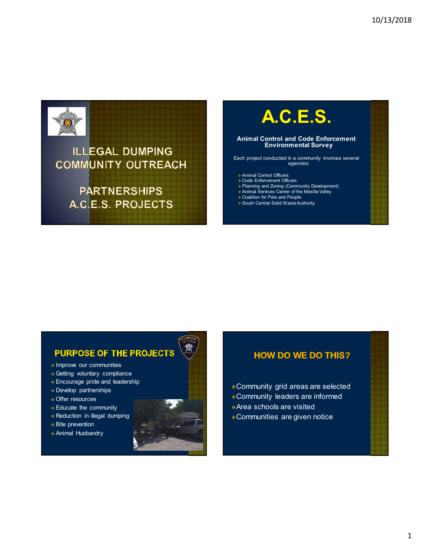

### **ILLEGAL DUMPING COMMUNITY OUTREACH**

**PARTNERSHIPS** A.C.E.S. PROJECTS

## **A.C.E.S.**

#### **Animal Control and Code Enforcement Environmental Survey**

Each project conducted in a community involves several agencies:

- Animal Control Officers Code Enforcement Officers
- 
- Planning and Zoning (Community Development) **Animal Services Center of the Mesilla Valley**
- Coalition for Pets and People
- South Central Solid Waste Authority

## **PURPOSE OF THE PROJECTS**

- **Improve our communities**
- Getting voluntary compliance
- Encourage pride and leadership
- Develop partnerships
- Offer resources
- Educate the community
- **Reduction in illegal dumping**
- **Bite prevention**
- Animal Husbandry



#### **HOW DO WE DO THIS?**

- Community grid areas are selected
- Community leaders are informed
- Area schools are visited
- Communities are given notice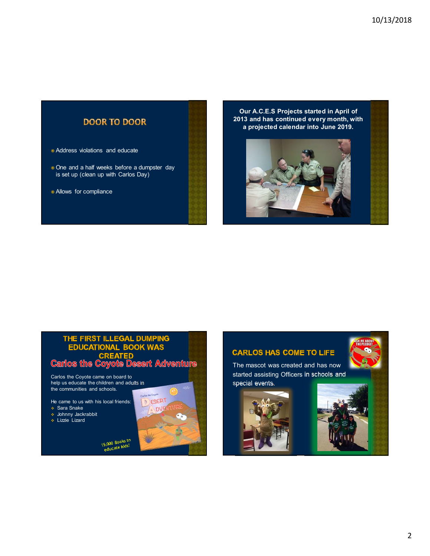#### **DOOR TO DOOR**

- Address violations and educate
- One and a half weeks before a dumpster day is set up (clean up with Carlos Day)
- Allows for compliance

**Our A.C.E.S Projects started in April of 2013 and has continued every month, with a projected calendar into June 2019.**



#### THE FIRST ILLEGAL DUMPING **EDUCATIONAL BOOK WAS STED Carlos the Coyote Desert Adventure**

15,000 Books to<br>educate kids!

Carlos the Coyote came on board to help us educate the children and adults in the communities and schools.

He came to us with his local friends:

- Sara Snake
- Johnny Jackrabbit
- Lizzie Lizard





The mascot was created and has now started assisting Officers in schools and special events.





2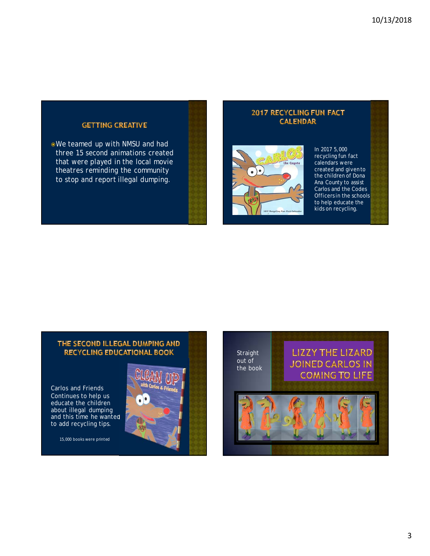#### **GETTING CREATIVE**

We teamed up with NMSU and had three 15 second animations created that were played in the local movie theatres reminding the community to stop and report illegal dumping.

#### **2017 RECYCLING FUN FACT CALENDAR**



In 2017 5,000 recycling fun fact calendars were created and given to the children of Dona Ana County to assist Carlos and the Codes Officers in the schools to help educate the kids on recycling.

#### THE SECOND ILLEGAL DUMPING AND **RECYCLING EDUCATIONAL BOOK**

Carlos and Friends Continues to help us educate the children about illegal dumping and this time he wanted to add recycling tips.

15,000 books were printed



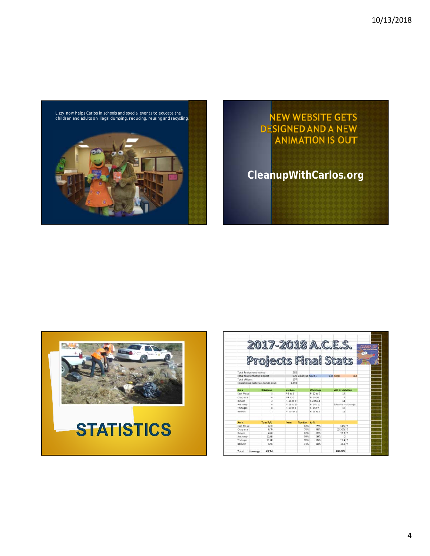

# NEW WEBSITE GETS<br>DESIGNED AND A NEW<br>ANIMATION IS OUT **CleanupWithCarlos.org**



|                            | 2017-2018 A.C.E.S.               |                |                               |                |                    |                   |  |
|----------------------------|----------------------------------|----------------|-------------------------------|----------------|--------------------|-------------------|--|
|                            |                                  |                |                               |                |                    |                   |  |
|                            | rojects Final Stats              |                |                               |                |                    |                   |  |
|                            |                                  |                |                               |                |                    |                   |  |
| Total Residences visited   |                                  | 292            |                               |                |                    |                   |  |
| Total hoursintothe project |                                  |                | 670 Clean up hours -          |                |                    | 144 Total<br>85.4 |  |
| Total officers             |                                  | 107            |                               |                |                    |                   |  |
|                            | Educational materials handed out | 2 194          |                               |                |                    |                   |  |
| Am a                       | Citations                        | <b>Verbals</b> |                               | <b>Wamings</b> | still in violation |                   |  |
| East Me sai                | 5                                | F9 to 2        |                               | F. 20 to 7     | 14                 |                   |  |
| Chaparral                  | ö                                | F4 to 0        |                               | 6.53.4         | <b>y</b>           |                   |  |
| Rincon                     | ı                                | F 16to 8       |                               | F.23to 4       | 14                 |                   |  |
| Anthony                    | ö                                | F 26to 29      |                               | F 3to 10       |                    | 29 same no change |  |
| Tortugas                   | o                                | F: 13 to 3     |                               | F.2107         | 10                 |                   |  |
| Bame #                     | ï                                | F: 13 to 1     |                               | F 11 to 9      | 11                 |                   |  |
|                            |                                  |                |                               |                |                    |                   |  |
| Ama<br>East Mo call        | Tons P/U<br>4 19                 | from           | Monter <sub>b</sub> 's<br>62% | 77%            | 24%                |                   |  |
| Chaparral                  | 6.79                             |                | 76%                           | 92%            | 22 30% 1           |                   |  |
| Rincon                     | 4.69                             |                | 62%                           | sthi           | 32.2 个             |                   |  |
| Anthony                    | 12.08                            |                | 59%                           | taris.         | $\Omega$           |                   |  |
| Tortugas                   | 11.08                            |                | 70%                           | 8%             | $21.4 +$           |                   |  |
| Bame #                     | 4.91                             |                | 71%                           | 34%            | 183个               |                   |  |
|                            |                                  |                |                               |                |                    |                   |  |

4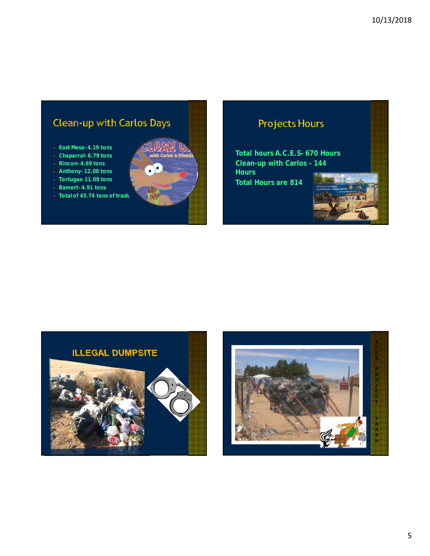## Clean-up with Carlos Days

- **East Mesa- 4.19 tons**
- **Chaparral- 6.79 tons**
- **Rincon- 4.69 tons**
- **Anthony- 12.08 tons**
- **Tortugas- 11.08 tons** • **Bamert- 4.91 tons**
- 
- **Total of 43.74 tons of trash**



## **Projects Hours**

**Total hours A.C.E.S- 670 Hours Clean-up with Carlos – 144 Hours Total Hours are 814**